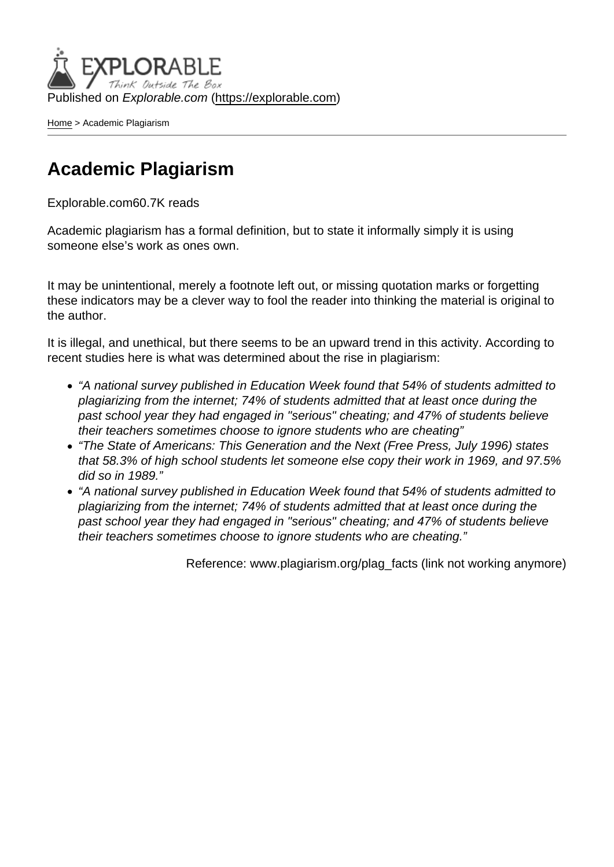Published on Explorable.com (<https://explorable.com>)

[Home](https://explorable.com/) > Academic Plagiarism

### Academic Plagiarism

Explorable.com60.7K reads

Academic plagiarism has a formal definition, but to state it informally simply it is using someone else's work as ones own.

It may be unintentional, merely a footnote left out, or missing quotation marks or forgetting these indicators may be a clever way to fool the reader into thinking the material is original to the author.

It is illegal, and unethical, but there seems to be an upward trend in this activity. According to recent studies here is what was determined about the rise in plagiarism:

- "A national survey published in Education Week found that 54% of students admitted to plagiarizing from the internet; 74% of students admitted that at least once during the past school year they had engaged in "serious" cheating; and 47% of students believe their teachers sometimes choose to ignore students who are cheating"
- "The State of Americans: This Generation and the Next (Free Press, July 1996) states that 58.3% of high school students let someone else copy their work in 1969, and 97.5% did so in 1989."
- "A national survey published in Education Week found that 54% of students admitted to plagiarizing from the internet; 74% of students admitted that at least once during the past school year they had engaged in "serious" cheating; and 47% of students believe their teachers sometimes choose to ignore students who are cheating."

Reference: www.plagiarism.org/plag\_facts (link not working anymore)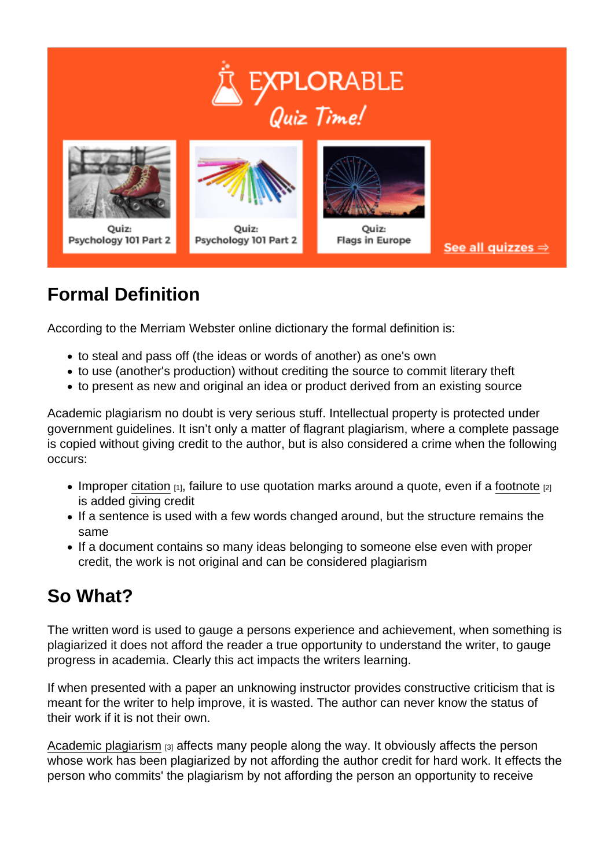## Formal Definition

According to the Merriam Webster online dictionary the formal definition is:

- to steal and pass off (the ideas or words of another) as one's own
- to use (another's production) without crediting the source to commit literary theft
- to present as new and original an idea or product derived from an existing source

Academic plagiarism no doubt is very serious stuff. Intellectual property is protected under government guidelines. It isn't only a matter of flagrant plagiarism, where a complete passage is copied without giving credit to the author, but is also considered a crime when the following occurs:

- Improper [citation](https://explorable.com/in-text-citation)  $[1]$ , failure to use quotation marks around a quote, even if a [footnote](https://explorable.com/how-to-write-footnotes)  $[2]$ is added giving credit
- If a sentence is used with a few words changed around, but the structure remains the same
- If a document contains so many ideas belonging to someone else even with proper credit, the work is not original and can be considered plagiarism

# So What?

The written word is used to gauge a persons experience and achievement, when something is plagiarized it does not afford the reader a true opportunity to understand the writer, to gauge progress in academia. Clearly this act impacts the writers learning.

If when presented with a paper an unknowing instructor provides constructive criticism that is meant for the writer to help improve, it is wasted. The author can never know the status of their work if it is not their own.

[Academic plagiarism](http://owl.english.purdue.edu/owl/resource/589/02/) [3] affects many people along the way. It obviously affects the person whose work has been plagiarized by not affording the author credit for hard work. It effects the person who commits' the plagiarism by not affording the person an opportunity to receive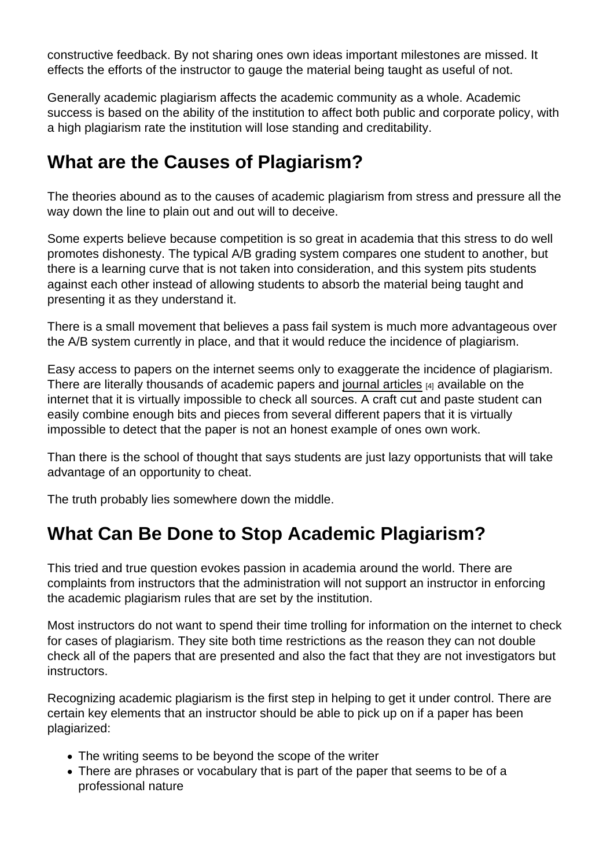constructive feedback. By not sharing ones own ideas important milestones are missed. It effects the efforts of the instructor to gauge the material being taught as useful of not.

Generally academic plagiarism affects the academic community as a whole. Academic success is based on the ability of the institution to affect both public and corporate policy, with a high plagiarism rate the institution will lose standing and creditability.

## What are the Causes of Plagiarism?

The theories abound as to the causes of academic plagiarism from stress and pressure all the way down the line to plain out and out will to deceive.

Some experts believe because competition is so great in academia that this stress to do well promotes dishonesty. The typical A/B grading system compares one student to another, but there is a learning curve that is not taken into consideration, and this system pits students against each other instead of allowing students to absorb the material being taught and presenting it as they understand it.

There is a small movement that believes a pass fail system is much more advantageous over the A/B system currently in place, and that it would reduce the incidence of plagiarism.

Easy access to papers on the internet seems only to exaggerate the incidence of plagiarism. There are literally thousands of academic papers and [journal articles](https://explorable.com/academic-journals) [4] available on the internet that it is virtually impossible to check all sources. A craft cut and paste student can easily combine enough bits and pieces from several different papers that it is virtually impossible to detect that the paper is not an honest example of ones own work.

Than there is the school of thought that says students are just lazy opportunists that will take advantage of an opportunity to cheat.

The truth probably lies somewhere down the middle.

#### What Can Be Done to Stop Academic Plagiarism?

This tried and true question evokes passion in academia around the world. There are complaints from instructors that the administration will not support an instructor in enforcing the academic plagiarism rules that are set by the institution.

Most instructors do not want to spend their time trolling for information on the internet to check for cases of plagiarism. They site both time restrictions as the reason they can not double check all of the papers that are presented and also the fact that they are not investigators but instructors.

Recognizing academic plagiarism is the first step in helping to get it under control. There are certain key elements that an instructor should be able to pick up on if a paper has been plagiarized:

- The writing seems to be beyond the scope of the writer
- There are phrases or vocabulary that is part of the paper that seems to be of a professional nature